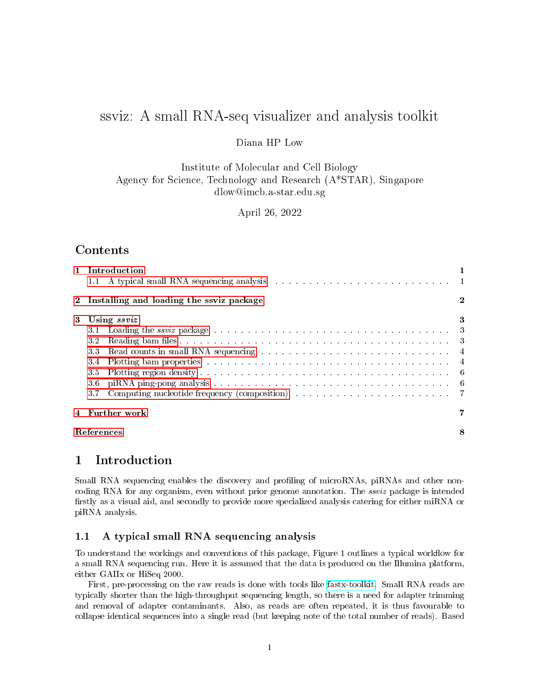# ssviz: A small RNA-seq visualizer and analysis toolkit

#### Diana HP Low

Institute of Molecular and Cell Biology Agency for Science, Technology and Research (A\*STAR), Singapore dlow@imcb.a-star.edu.sg

April 26, 2022

### Contents

|   | 1 Introduction                                                                                                                                                                                                                 |          |
|---|--------------------------------------------------------------------------------------------------------------------------------------------------------------------------------------------------------------------------------|----------|
|   | 1.1 A typical small RNA sequencing analysis entertainment of the set of the sequence of the set of the set of the set of the set of the set of the set of the set of the set of the set of the set of the set of the set of th |          |
|   | 2 Installing and loading the ssviz package                                                                                                                                                                                     | $\bf{2}$ |
| 3 | Using ssviz                                                                                                                                                                                                                    | 3        |
|   | 3.1                                                                                                                                                                                                                            |          |
|   | 3.2                                                                                                                                                                                                                            |          |
|   | Read counts in small RNA sequencing $\ldots \ldots \ldots \ldots \ldots \ldots \ldots \ldots \ldots$<br>3.3                                                                                                                    |          |
|   | 34                                                                                                                                                                                                                             |          |
|   | 35                                                                                                                                                                                                                             |          |
|   | 36                                                                                                                                                                                                                             |          |
|   | 3.7                                                                                                                                                                                                                            |          |
| 4 | Further work                                                                                                                                                                                                                   |          |
|   | <b>References</b>                                                                                                                                                                                                              | 8        |

### <span id="page-0-0"></span>1 Introduction

Small RNA sequencing enables the discovery and profiling of microRNAs, piRNAs and other noncoding RNA for any organism, even without prior genome annotation. The ssviz package is intended firstly as a visual aid, and secondly to provide more specialized analysis catering for either miRNA or piRNA analysis.

#### <span id="page-0-1"></span>1.1 A typical small RNA sequencing analysis

To understand the workings and conventions of this package, Figure 1 outlines a typical workflow for a small RNA sequencing run. Here it is assumed that the data is produced on the Illumina platform, either GAIIx or HiSeq 2000.

First, pre-processing on the raw reads is done with tools like [fastx-toolkit.](http://hannonlab.cshl.edu/fastx_toolkit) Small RNA reads are typically shorter than the high-throughput sequencing length, so there is a need for adapter trimming and removal of adapter contaminants. Also, as reads are often repeated, it is thus favourable to collapse identical sequences into a single read (but keeping note of the total number of reads). Based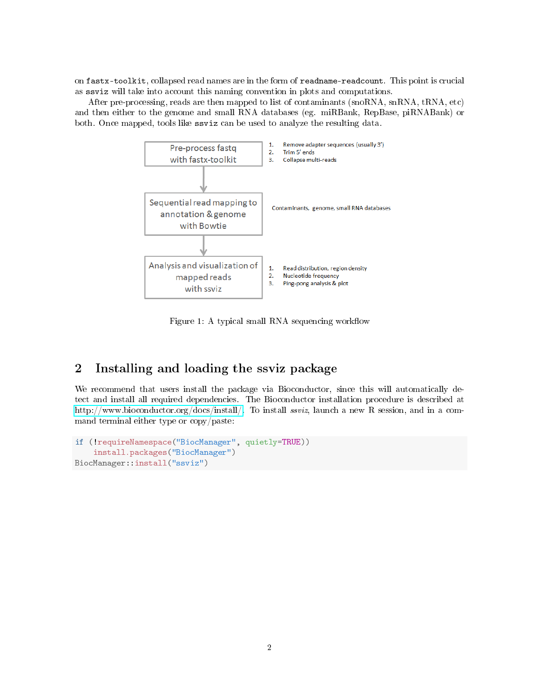on fastx-toolkit, collapsed read names are in the form of readname-readcount. This point is crucial as ssviz will take into account this naming convention in plots and computations.

After pre-processing, reads are then mapped to list of contaminants (snoRNA, snRNA, tRNA, etc) and then either to the genome and small RNA databases (eg. miRBank, RepBase, piRNABank) or both. Once mapped, tools like ssviz can be used to analyze the resulting data.



Figure 1: A typical small RNA sequencing workflow

## <span id="page-1-0"></span>2 Installing and loading the ssviz package

We recommend that users install the package via Bioconductor, since this will automatically detect and install all required dependencies. The Bioconductor installation procedure is described at [http://www.bioconductor.org/docs/install/.](http://www.bioconductor.org/docs/install/) To install ssviz, launch a new R session, and in a command terminal either type or copy/paste:

```
if (!requireNamespace("BiocManager", quietly=TRUE))
    install.packages("BiocManager")
BiocManager::install("ssviz")
```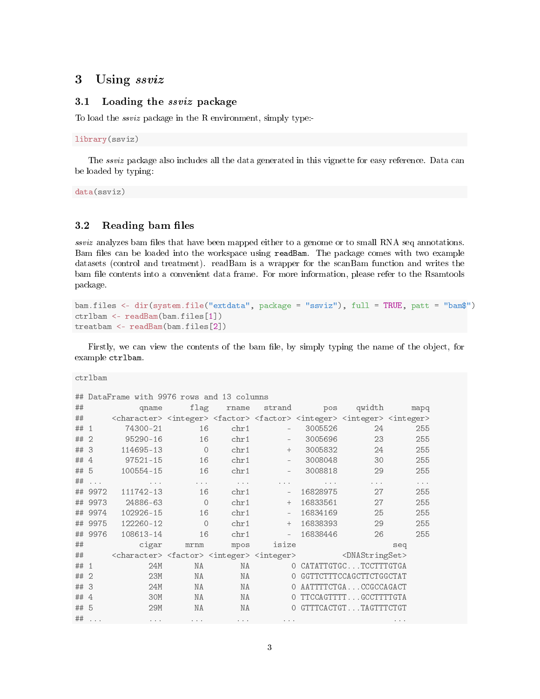## <span id="page-2-0"></span>3 Using ssviz

#### <span id="page-2-1"></span>3.1 Loading the ssviz package

To load the ssviz package in the R environment, simply type:-

library(ssviz)

The ssviz package also includes all the data generated in this vignette for easy reference. Data can be loaded by typing:

data(ssviz)

#### <span id="page-2-2"></span>3.2 Reading bam files

 $ssviz$  analyzes bam files that have been mapped either to a genome or to small RNA seq annotations. Bam files can be loaded into the workspace using readBam. The package comes with two example datasets (control and treatment). readBam is a wrapper for the scanBam function and writes the bam file contents into a convenient data frame. For more information, please refer to the Rsamtools package.

```
bam.files <- dir(system.file("extdata", package = "ssviz"), full = TRUE, patt = "bam$")
ctrlbam <- readBam(bam.files[1])
treatbam <- readBam(bam.files[2])
```
Firstly, we can view the contents of the bam file, by simply typing the name of the object, for example ctrlbam.

ctrlbam

|      |                                | ## DataFrame with 9976 rows and 13 columns                                                                                                  |                            |                               |                                                                                            |                                    |                               |                                                              |
|------|--------------------------------|---------------------------------------------------------------------------------------------------------------------------------------------|----------------------------|-------------------------------|--------------------------------------------------------------------------------------------|------------------------------------|-------------------------------|--------------------------------------------------------------|
| ##   |                                | qname                                                                                                                                       | flag                       | rname                         | strand                                                                                     | pos                                | qwidth                        | mapq                                                         |
| ##   |                                | <character> <integer> <factor> <factor> <integer> <integer> <integer></integer></integer></integer></factor></factor></integer></character> |                            |                               |                                                                                            |                                    |                               |                                                              |
| ##   | $\mathbf{1}$                   | 74300-21                                                                                                                                    | 16                         | chr1                          | $\equiv$                                                                                   | 3005526                            | 24                            | 255                                                          |
| ##   | $\overline{2}$                 | 95290-16                                                                                                                                    | 16                         | chr1                          | $\overline{\phantom{a}}$                                                                   | 3005696                            | 23                            | 255                                                          |
| ## 3 |                                | 114695-13                                                                                                                                   | $\circ$                    | chr1                          | $+$                                                                                        | 3005832                            | 24                            | 255                                                          |
| ##   | $\overline{4}$                 | 97521-15                                                                                                                                    | 16                         | chr1                          |                                                                                            | 3008048                            | 30                            | 255                                                          |
| ## 5 |                                | 100554-15                                                                                                                                   | 16                         | chr1                          |                                                                                            | 3008818                            | 29                            | 255                                                          |
| ##   | $\alpha = \alpha = \alpha$     | $\mathbf{a}=\mathbf{a}=\mathbf{a}$                                                                                                          | $\alpha = \alpha = \alpha$ | $\sim$ $\sim$ $\sim$          | $\alpha = \alpha = \alpha$                                                                 | $\mathbf{a}=\mathbf{a}=\mathbf{a}$ | $\epsilon$ . $\epsilon$       | $\epsilon \rightarrow -\epsilon$                             |
|      | ## 9972                        | 111742-13                                                                                                                                   | 16                         | chr1                          | $\sim$ $-$                                                                                 | 16828975                           | 27                            | 255                                                          |
|      | ## 9973                        | 24886-63                                                                                                                                    | $\circ$                    | chr1                          | $+$                                                                                        | 16833561                           | 27                            | 255                                                          |
|      | ## 9974                        | 102926-15                                                                                                                                   | 16                         | chr1                          | $\overline{\phantom{a}}$                                                                   | 16834169                           | 25                            | 255                                                          |
|      | ## 9975                        | 122260-12                                                                                                                                   | $\circ$                    | chr1                          | $+$                                                                                        | 16838393                           | 29                            | 255                                                          |
|      | ## 9976                        | 108613-14                                                                                                                                   | 16                         | chr1                          | $\equiv$                                                                                   | 16838446                           | 26                            | 255                                                          |
| ##   |                                | cigar                                                                                                                                       | mrnm                       | mpos                          | isize                                                                                      |                                    |                               | seq                                                          |
| ##   |                                | <character> <factor> <integer> <integer></integer></integer></factor></character>                                                           |                            |                               |                                                                                            |                                    | <dnastringset></dnastringset> |                                                              |
| ##   | $\overline{1}$                 | 24M                                                                                                                                         | ΝA                         | ΝA                            |                                                                                            |                                    | O CATATTGTGCTCCTTTGTGA        |                                                              |
| ##   | $\overline{2}$                 | 23M                                                                                                                                         | ΝA                         | ΝA                            |                                                                                            |                                    | O GGTTCTTTCCAGCTTCTGGCTAT     |                                                              |
| ##   | 3                              | 24M                                                                                                                                         | NA                         | NA                            |                                                                                            |                                    | O AATTTTCTGACCGCCAGACT        |                                                              |
| ##   | $\overline{4}$                 | 30M                                                                                                                                         | ΝA                         | ΝA                            |                                                                                            |                                    | O TTCCAGTTTTGCCTTTTGTA        |                                                              |
| ## 5 |                                | 29M                                                                                                                                         | NA                         | ΝA                            |                                                                                            |                                    | O GTTTCACTGTTAGTTTCTGT        |                                                              |
| ##   | $\alpha$ , $\alpha$ , $\alpha$ | $\cdots$                                                                                                                                    | $\cdots$                   | $\bullet$ $\bullet$ $\bullet$ | $\begin{array}{ccccccccccccc} \bullet & \bullet & \bullet & \bullet & \bullet \end{array}$ |                                    |                               | $\begin{array}{ccccccccccccc} 0 & 0 & 0 & 0 & 0 \end{array}$ |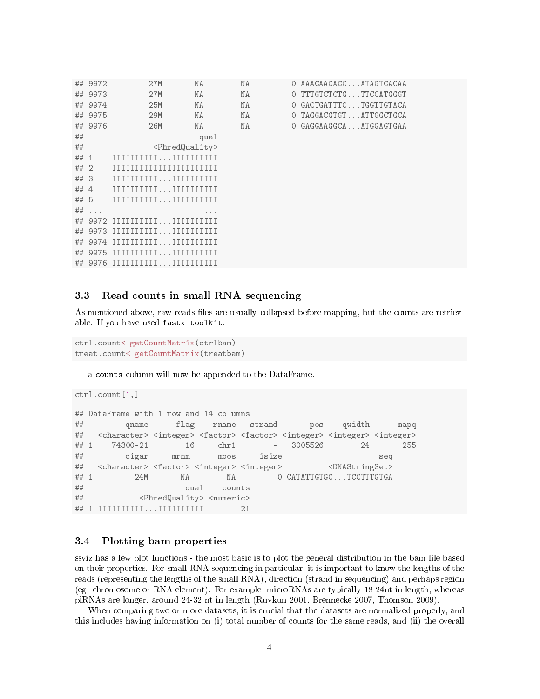|      | ## 9972                                                                                                                                                                                                                                                                                                                                                                                                                                                                                                                     | 27M                                                                                                                                                                                                                                                                                                                                                                                                                                                                                                 | ΝA                                                                                               | ΝA |  | O AAACAACACCATAGTCACAA |  |
|------|-----------------------------------------------------------------------------------------------------------------------------------------------------------------------------------------------------------------------------------------------------------------------------------------------------------------------------------------------------------------------------------------------------------------------------------------------------------------------------------------------------------------------------|-----------------------------------------------------------------------------------------------------------------------------------------------------------------------------------------------------------------------------------------------------------------------------------------------------------------------------------------------------------------------------------------------------------------------------------------------------------------------------------------------------|--------------------------------------------------------------------------------------------------|----|--|------------------------|--|
|      | ## 9973                                                                                                                                                                                                                                                                                                                                                                                                                                                                                                                     | 27M                                                                                                                                                                                                                                                                                                                                                                                                                                                                                                 | NA                                                                                               | NA |  | O TTTGTCTCTGTTCCATGGGT |  |
|      | ## 9974                                                                                                                                                                                                                                                                                                                                                                                                                                                                                                                     | 25M                                                                                                                                                                                                                                                                                                                                                                                                                                                                                                 | ΝA                                                                                               | NA |  | O GACTGATTTCTGGTTGTACA |  |
|      | ## 9975                                                                                                                                                                                                                                                                                                                                                                                                                                                                                                                     | 29M                                                                                                                                                                                                                                                                                                                                                                                                                                                                                                 | NA                                                                                               | NA |  | O TAGGACGTGTATTGGCTGCA |  |
|      | ## 9976                                                                                                                                                                                                                                                                                                                                                                                                                                                                                                                     | 26M                                                                                                                                                                                                                                                                                                                                                                                                                                                                                                 | ΝA                                                                                               | NA |  | O GAGGAAGGCAATGGAGTGAA |  |
| ##   |                                                                                                                                                                                                                                                                                                                                                                                                                                                                                                                             |                                                                                                                                                                                                                                                                                                                                                                                                                                                                                                     | qual                                                                                             |    |  |                        |  |
| ##   | <phredquality></phredquality>                                                                                                                                                                                                                                                                                                                                                                                                                                                                                               |                                                                                                                                                                                                                                                                                                                                                                                                                                                                                                     |                                                                                                  |    |  |                        |  |
| ## 1 |                                                                                                                                                                                                                                                                                                                                                                                                                                                                                                                             |                                                                                                                                                                                                                                                                                                                                                                                                                                                                                                     |                                                                                                  |    |  |                        |  |
| ## 2 |                                                                                                                                                                                                                                                                                                                                                                                                                                                                                                                             | TTTTTTTTTTTTTTTTTTTTT                                                                                                                                                                                                                                                                                                                                                                                                                                                                               |                                                                                                  |    |  |                        |  |
| ## 3 | $\begin{minipage}{0.9\linewidth} \begin{tabular}{c} \multicolumn{1}{c} {\textbf{III}} & \multicolumn{1}{c} {\textbf{III}} \\ \multicolumn{1}{c} {\textbf{III}} & \multicolumn{1}{c} {\textbf{III}} \\ \multicolumn{1}{c} {\textbf{III}} & \multicolumn{1}{c} {\textbf{III}} \\ \multicolumn{1}{c} {\textbf{III}} & \multicolumn{1}{c} {\textbf{III}} \\ \multicolumn{1}{c} {\textbf{III}} & \multicolumn{1}{c} {\textbf{III}} \\ \multicolumn{1}{c} {\textbf{III}} & \multicolumn{1}{c} {\textbf{III}} \\ \multicolumn{1}{$ |                                                                                                                                                                                                                                                                                                                                                                                                                                                                                                     |                                                                                                  |    |  |                        |  |
| ## 4 | $\begin{minipage}{0.9\linewidth} \begin{tabular}{c} \multicolumn{1}{c} {\textbf{III}} & \multicolumn{1}{c} {\textbf{III}} \\ \multicolumn{1}{c} {\textbf{III}} & \multicolumn{1}{c} {\textbf{III}} \\ \multicolumn{1}{c} {\textbf{III}} & \multicolumn{1}{c} {\textbf{III}} \\ \multicolumn{1}{c} {\textbf{III}} & \multicolumn{1}{c} {\textbf{III}} \\ \multicolumn{1}{c} {\textbf{III}} & \multicolumn{1}{c} {\textbf{III}} \\ \multicolumn{1}{c} {\textbf{III}} & \multicolumn{1}{c} {\textbf{III}} \\ \multicolumn{1}{$ |                                                                                                                                                                                                                                                                                                                                                                                                                                                                                                     |                                                                                                  |    |  |                        |  |
| ## 5 |                                                                                                                                                                                                                                                                                                                                                                                                                                                                                                                             | $\begin{minipage}{0.9\linewidth} \begin{tabular}{l} \multicolumn{1}{c}{\textbf{II}}{\textbf{II}}{\textbf{II}}{\textbf{II}}{\textbf{II}}{\textbf{II}}{\textbf{II}}{\textbf{II}}{\textbf{II}}{\textbf{II}}{\textbf{II}}{\textbf{II}}{\textbf{II}}{\textbf{II}}{\textbf{II}}{\textbf{II}}{\textbf{II}}{\textbf{II}}{\textbf{II}}{\textbf{II}}{\textbf{II}}{\textbf{II}}{\textbf{II}}{\textbf{II}}{\textbf{II}}{\textbf{II}}{\textbf{II}}{\textbf{II}}{\textbf{II}}{\textbf{II}}{\textbf{II}}{\textbf{$ |                                                                                                  |    |  |                        |  |
| ##   | $\cdots$                                                                                                                                                                                                                                                                                                                                                                                                                                                                                                                    |                                                                                                                                                                                                                                                                                                                                                                                                                                                                                                     | $\begin{array}{ccccccccccccccccc} \bullet & \bullet & \bullet & \bullet & \bullet & \end{array}$ |    |  |                        |  |
|      |                                                                                                                                                                                                                                                                                                                                                                                                                                                                                                                             | ## 9972 IIIIIIIIIIIIIIIIIIIIII                                                                                                                                                                                                                                                                                                                                                                                                                                                                      |                                                                                                  |    |  |                        |  |
|      | ## 9973 IIIIIIIIIIIIIIIIIIIIIII                                                                                                                                                                                                                                                                                                                                                                                                                                                                                             |                                                                                                                                                                                                                                                                                                                                                                                                                                                                                                     |                                                                                                  |    |  |                        |  |
|      | ## 9974 TITTITITITTITTITTITT                                                                                                                                                                                                                                                                                                                                                                                                                                                                                                |                                                                                                                                                                                                                                                                                                                                                                                                                                                                                                     |                                                                                                  |    |  |                        |  |
|      | ## 9975 TITTITITITTITTITTITT                                                                                                                                                                                                                                                                                                                                                                                                                                                                                                |                                                                                                                                                                                                                                                                                                                                                                                                                                                                                                     |                                                                                                  |    |  |                        |  |
|      |                                                                                                                                                                                                                                                                                                                                                                                                                                                                                                                             | ## 9976 IIIIIIIIIIIIIIIIIIIIII                                                                                                                                                                                                                                                                                                                                                                                                                                                                      |                                                                                                  |    |  |                        |  |
|      |                                                                                                                                                                                                                                                                                                                                                                                                                                                                                                                             |                                                                                                                                                                                                                                                                                                                                                                                                                                                                                                     |                                                                                                  |    |  |                        |  |

#### <span id="page-3-0"></span>3.3 Read counts in small RNA sequencing

As mentioned above, raw reads files are usually collapsed before mapping, but the counts are retrievable. If you have used fastx-toolkit:

```
ctrl.count<-getCountMatrix(ctrlbam)
treat.count<-getCountMatrix(treatbam)
```
a counts column will now be appended to the DataFrame.

```
ctrl.count[1,]
## DataFrame with 1 row and 14 columns
## qname flag rname strand pos qwidth mapq
## <character> <integer> <factor> <factor> <integer> <integer> <integer>
## 1 74300-21 16 chr1 - 3005526 24 255
## cigar mrnm mpos isize seq
## <character> <factor> <integer> <integer> <DNAStringSet>
## 1 24M NA NA 0 CATATTGTGC...TCCTTTGTGA
## qual counts
## \langlePhredQuality> <numeric>
## 1 IIIIIIIIII...IIIIIIIIII 21
```
#### <span id="page-3-1"></span>3.4 Plotting bam properties

ssviz has a few plot functions - the most basic is to plot the general distribution in the bam file based on their properties. For small RNA sequencing in particular, it is important to know the lengths of the reads (representing the lengths of the small RNA), direction (strand in sequencing) and perhaps region (eg. chromosome or RNA element). For example, microRNAs are typically 18-24nt in length, whereas piRNAs are longer, around 24-32 nt in length (Ruvkun 2001, Brennecke 2007, Thomson 2009).

When comparing two or more datasets, it is crucial that the datasets are normalized properly, and this includes having information on (i) total number of counts for the same reads, and (ii) the overall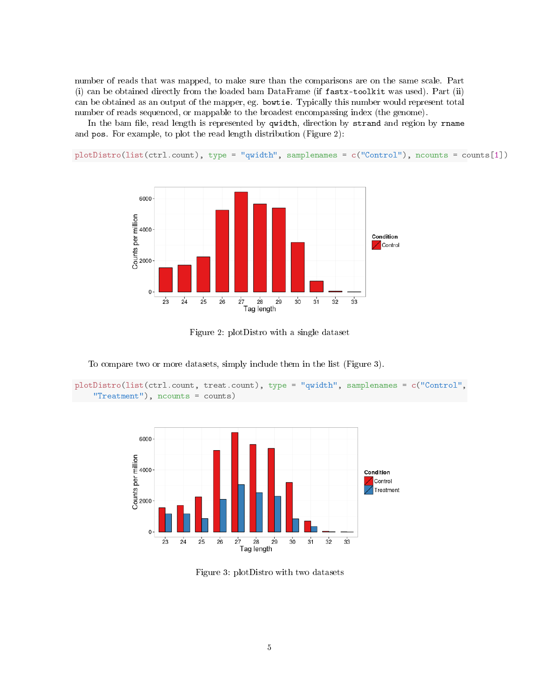number of reads that was mapped, to make sure than the comparisons are on the same scale. Part (i) can be obtained directly from the loaded bam DataFrame (if fastx-toolkit was used). Part (ii) can be obtained as an output of the mapper, eg. bowtie. Typically this number would represent total number of reads sequenced, or mappable to the broadest encompassing index (the genome).

In the bam file, read length is represented by qwidth, direction by strand and region by rname and pos. For example, to plot the read length distribution (Figure 2):

plotDistro(list(ctrl.count), type = "qwidth", samplenames = c("Control"), ncounts = counts[1])



Figure 2: plotDistro with a single dataset

To compare two or more datasets, simply include them in the list (Figure 3).

```
plotDistro(list(ctrl.count, treat.count), type = "qwidth", samplenames = c("Control",
    "Treatment"), ncounts = counts)
```


Figure 3: plotDistro with two datasets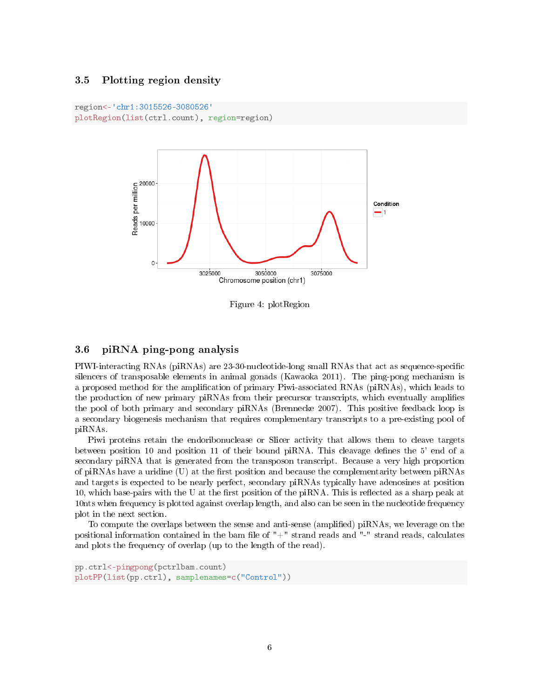#### <span id="page-5-0"></span>3.5 Plotting region density

```
region<-'chr1:3015526-3080526'
plotRegion(list(ctrl.count), region=region)
```


Figure 4: plotRegion

#### <span id="page-5-1"></span>3.6 piRNA ping-pong analysis

PIWI-interacting RNAs (piRNAs) are 23-30-nucleotide-long small RNAs that act as sequence-specific silencers of transposable elements in animal gonads (Kawaoka 2011). The ping-pong mechanism is a proposed method for the amplication of primary Piwi-associated RNAs (piRNAs), which leads to the production of new primary piRNAs from their precursor transcripts, which eventually amplies the pool of both primary and secondary piRNAs (Brennecke 2007). This positive feedback loop is a secondary biogenesis mechanism that requires complementary transcripts to a pre-existing pool of piRNAs.

Piwi proteins retain the endoribonuclease or Slicer activity that allows them to cleave targets between position 10 and position 11 of their bound piRNA. This cleavage defines the 5' end of a secondary piRNA that is generated from the transposon transcript. Because a very high proportion of piRNAs have a uridine  $(U)$  at the first position and because the complementarity between piRNAs and targets is expected to be nearly perfect, secondary piRNAs typically have adenosines at position 10, which base-pairs with the U at the first position of the piRNA. This is reflected as a sharp peak at 10nts when frequency is plotted against overlap length, and also can be seen in the nucleotide frequency plot in the next section.

To compute the overlaps between the sense and anti-sense (amplified) piRNAs, we leverage on the positional information contained in the bam file of  $"+"$  strand reads and  $"-"$  strand reads, calculates and plots the frequency of overlap (up to the length of the read).

```
pp.ctrl<-pingpong(pctrlbam.count)
plotPP(list(pp.ctrl), samplenames=c("Control"))
```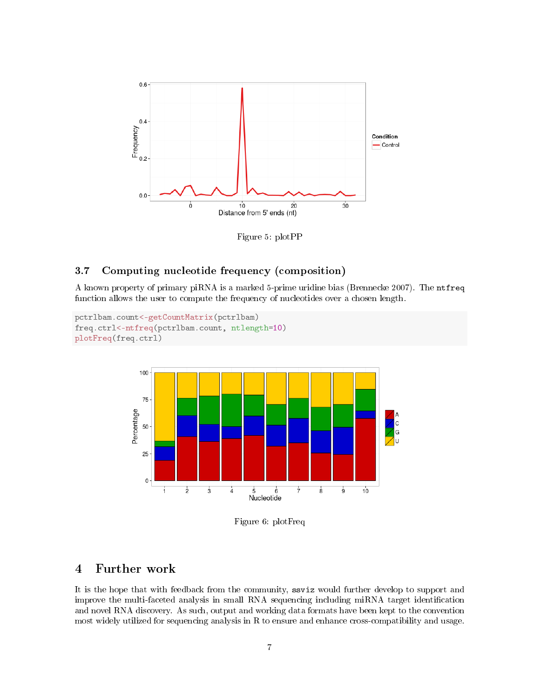

Figure 5: plotPP

#### <span id="page-6-0"></span>3.7 Computing nucleotide frequency (composition)

A known property of primary piRNA is a marked 5-prime uridine bias (Brennecke 2007). The ntfreq function allows the user to compute the frequency of nucleotides over a chosen length.

```
pctrlbam.count<-getCountMatrix(pctrlbam)
freq.ctrl<-ntfreq(pctrlbam.count, ntlength=10)
plotFreq(freq.ctrl)
                              100<sub>1</sub>75
                          Percentage
                                                                                                                                                  Z<sub>G</sub><br>Z<sub>G</sub><br>Zu
                               50
                               25
                                 \pmb{0}Ŧ
                                                   \frac{1}{2}\frac{1}{3}\frac{1}{4}\frac{1}{5} \frac{1}{6}<br>Nucleotide
                                                                                                       \frac{1}{7}\overline{8}\frac{1}{9}10
```
Figure 6: plotFreq

# <span id="page-6-1"></span>4 Further work

It is the hope that with feedback from the community, ssviz would further develop to support and improve the multi-faceted analysis in small RNA sequencing including miRNA target identification and novel RNA discovery. As such, output and working data formats have been kept to the convention most widely utilized for sequencing analysis in R to ensure and enhance cross-compatibility and usage.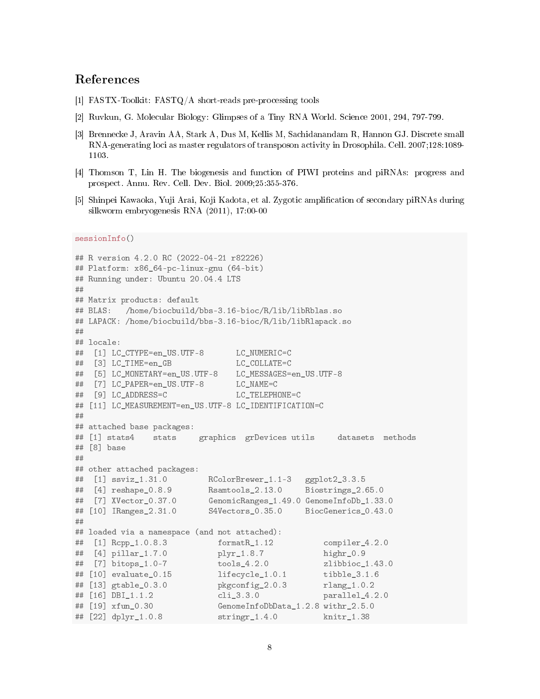## References

- [1] FASTX-Toolkit: FASTQ/A short-reads pre-processing tools
- [2] Ruvkun, G. Molecular Biology: Glimpses of a Tiny RNA World. Science 2001, 294, 797-799.
- [3] Brennecke J, Aravin AA, Stark A, Dus M, Kellis M, Sachidanandam R, Hannon GJ. Discrete small RNA-generating loci as master regulators of transposon activity in Drosophila. Cell. 2007;128:1089- 1103.
- [4] Thomson T, Lin H. The biogenesis and function of PIWI proteins and piRNAs: progress and prospect. Annu. Rev. Cell. Dev. Biol. 2009;25:355-376.
- [5] Shinpei Kawaoka, Yuji Arai, Koji Kadota, et al. Zygotic amplication of secondary piRNAs during silkworm embryogenesis RNA (2011), 17:00-00

```
sessionInfo()
```

```
## R version 4.2.0 RC (2022-04-21 r82226)
## Platform: x86_64-pc-linux-gnu (64-bit)
## Running under: Ubuntu 20.04.4 LTS
##
## Matrix products: default
## BLAS: /home/biocbuild/bbs-3.16-bioc/R/lib/libRblas.so
## LAPACK: /home/biocbuild/bbs-3.16-bioc/R/lib/libRlapack.so
##
## locale:
## [1] LC_CTYPE=en_US.UTF-8 LC_NUMERIC=C
## [3] LC_TIME=en_GB LC_COLLATE=C
## [5] LC_MONETARY=en_US.UTF-8 LC_MESSAGES=en_US.UTF-8
## [7] LC_PAPER=en_US.UTF-8 LC_NAME=C
## [9] LC_ADDRESS=C LC_TELEPHONE=C
## [11] LC_MEASUREMENT=en_US.UTF-8 LC_IDENTIFICATION=C
##
## attached base packages:
## [1] stats4 stats graphics grDevices utils datasets methods
## [8] base
##
## other attached packages:
## [1] ssviz_1.31.0 RColorBrewer_1.1-3 ggplot2_3.3.5
## [4] reshape_0.8.9 Rsamtools_2.13.0 Biostrings_2.65.0
## [7] XVector_0.37.0 GenomicRanges_1.49.0 GenomeInfoDb_1.33.0
## [10] IRanges_2.31.0 S4Vectors_0.35.0 BiocGenerics_0.43.0
##
## loaded via a namespace (and not attached):
## [1] Rcpp_1.0.8.3 formatR_1.12 compiler_4.2.0
## [4] pillar_1.7.0 plyr_1.8.7 highr_0.9
## [7] bitops_1.0-7 tools_4.2.0 zlibbioc_1.43.0
## [10] evaluate_0.15 lifecycle_1.0.1 tibble_3.1.6
## [13] gtable_0.3.0 pkgconfig_2.0.3 rlang_1.0.2
## [16] DBI_1.1.2 cli_3.3.0 parallel_4.2.0
## [19] xfun_0.30 GenomeInfoDbData_1.2.8 withr_2.5.0
## [22] dplyr_1.0.8 stringr_1.4.0 knitr_1.38
```